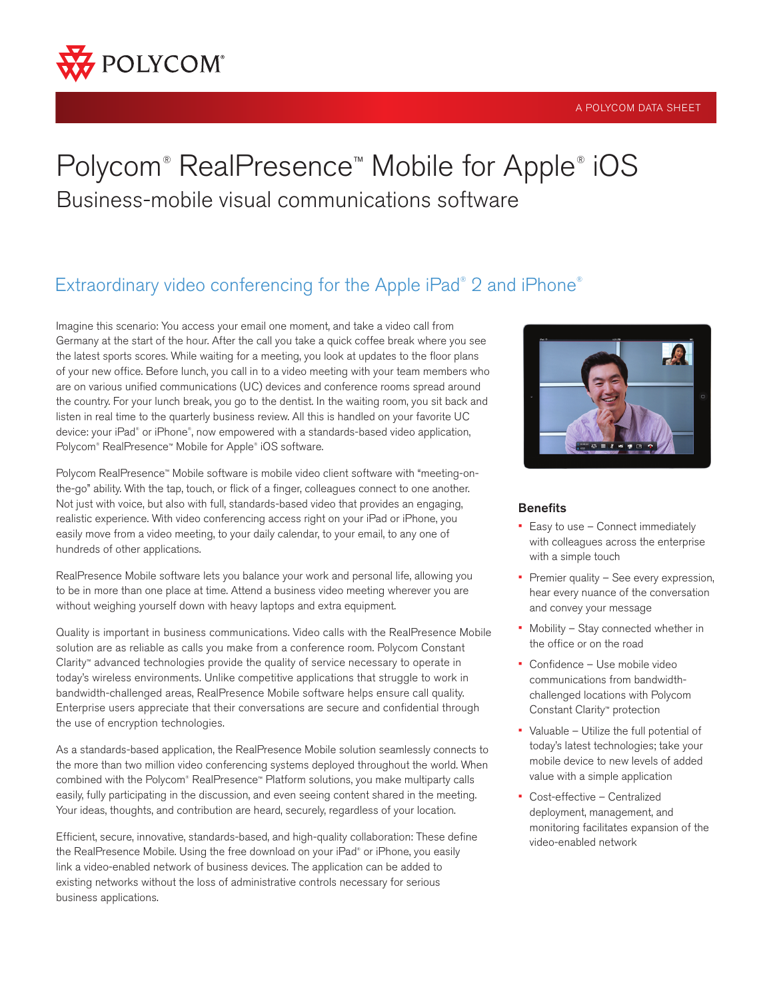

#### A POLYCOM DATA SHEET

# Polycom® RealPresence™ Mobile for Apple® iOS Business-mobile visual communications software

# Extraordinary video conferencing for the Apple iPad® 2 and iPhone®

Imagine this scenario: You access your email one moment, and take a video call from Germany at the start of the hour. After the call you take a quick coffee break where you see the latest sports scores. While waiting for a meeting, you look at updates to the floor plans of your new office. Before lunch, you call in to a video meeting with your team members who are on various unified communications (UC) devices and conference rooms spread around the country. For your lunch break, you go to the dentist. In the waiting room, you sit back and listen in real time to the quarterly business review. All this is handled on your favorite UC device: your iPad® or iPhone® , now empowered with a standards-based video application, Polycom® RealPresence™ Mobile for Apple® iOS software.

Polycom RealPresence™ Mobile software is mobile video client software with "meeting-onthe-go" ability. With the tap, touch, or flick of a finger, colleagues connect to one another. Not just with voice, but also with full, standards-based video that provides an engaging, realistic experience. With video conferencing access right on your iPad or iPhone, you easily move from a video meeting, to your daily calendar, to your email, to any one of hundreds of other applications.

RealPresence Mobile software lets you balance your work and personal life, allowing you to be in more than one place at time. Attend a business video meeting wherever you are without weighing yourself down with heavy laptops and extra equipment.

Quality is important in business communications. Video calls with the RealPresence Mobile solution are as reliable as calls you make from a conference room. Polycom Constant Clarity™ advanced technologies provide the quality of service necessary to operate in today's wireless environments. Unlike competitive applications that struggle to work in bandwidth-challenged areas, RealPresence Mobile software helps ensure call quality. Enterprise users appreciate that their conversations are secure and confidential through the use of encryption technologies.

As a standards-based application, the RealPresence Mobile solution seamlessly connects to the more than two million video conferencing systems deployed throughout the world. When combined with the Polycom® RealPresence™ Platform solutions, you make multiparty calls easily, fully participating in the discussion, and even seeing content shared in the meeting. Your ideas, thoughts, and contribution are heard, securely, regardless of your location.

Efficient, secure, innovative, standards-based, and high-quality collaboration: These define the RealPresence Mobile. Using the free download on your iPad® or iPhone, you easily link a video-enabled network of business devices. The application can be added to existing networks without the loss of administrative controls necessary for serious business applications.



# **Benefits**

- Easy to use Connect immediately with colleagues across the enterprise with a simple touch
- Premier quality See every expression, hear every nuance of the conversation and convey your message
- Mobility Stay connected whether in the office or on the road
- Confidence Use mobile video communications from bandwidthchallenged locations with Polycom Constant Clarity™ protection
- Valuable Utilize the full potential of today's latest technologies; take your mobile device to new levels of added value with a simple application
- Cost-effective Centralized deployment, management, and monitoring facilitates expansion of the video-enabled network